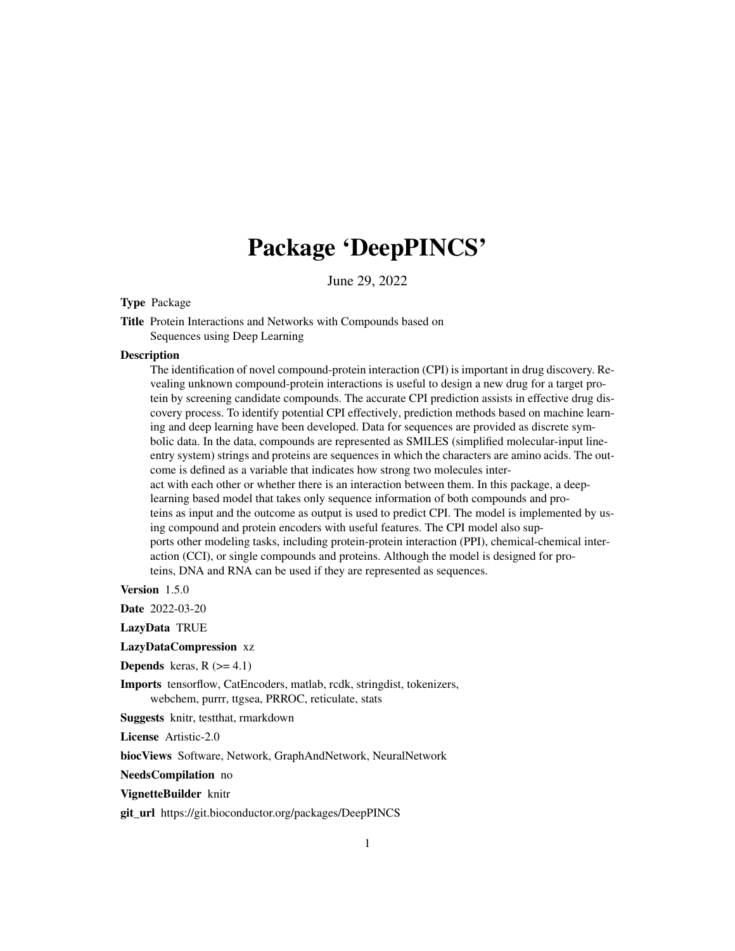# Package 'DeepPINCS'

June 29, 2022

#### Type Package

Title Protein Interactions and Networks with Compounds based on Sequences using Deep Learning

#### **Description**

The identification of novel compound-protein interaction (CPI) is important in drug discovery. Revealing unknown compound-protein interactions is useful to design a new drug for a target protein by screening candidate compounds. The accurate CPI prediction assists in effective drug discovery process. To identify potential CPI effectively, prediction methods based on machine learning and deep learning have been developed. Data for sequences are provided as discrete symbolic data. In the data, compounds are represented as SMILES (simplified molecular-input lineentry system) strings and proteins are sequences in which the characters are amino acids. The outcome is defined as a variable that indicates how strong two molecules interact with each other or whether there is an interaction between them. In this package, a deeplearning based model that takes only sequence information of both compounds and proteins as input and the outcome as output is used to predict CPI. The model is implemented by using compound and protein encoders with useful features. The CPI model also supports other modeling tasks, including protein-protein interaction (PPI), chemical-chemical interaction (CCI), or single compounds and proteins. Although the model is designed for proteins, DNA and RNA can be used if they are represented as sequences.

Version 1.5.0

Date 2022-03-20

LazyData TRUE

LazyDataCompression xz

**Depends** keras,  $R$  ( $>= 4.1$ )

Imports tensorflow, CatEncoders, matlab, rcdk, stringdist, tokenizers, webchem, purrr, ttgsea, PRROC, reticulate, stats

Suggests knitr, testthat, rmarkdown

License Artistic-2.0

biocViews Software, Network, GraphAndNetwork, NeuralNetwork

NeedsCompilation no

#### VignetteBuilder knitr

git\_url https://git.bioconductor.org/packages/DeepPINCS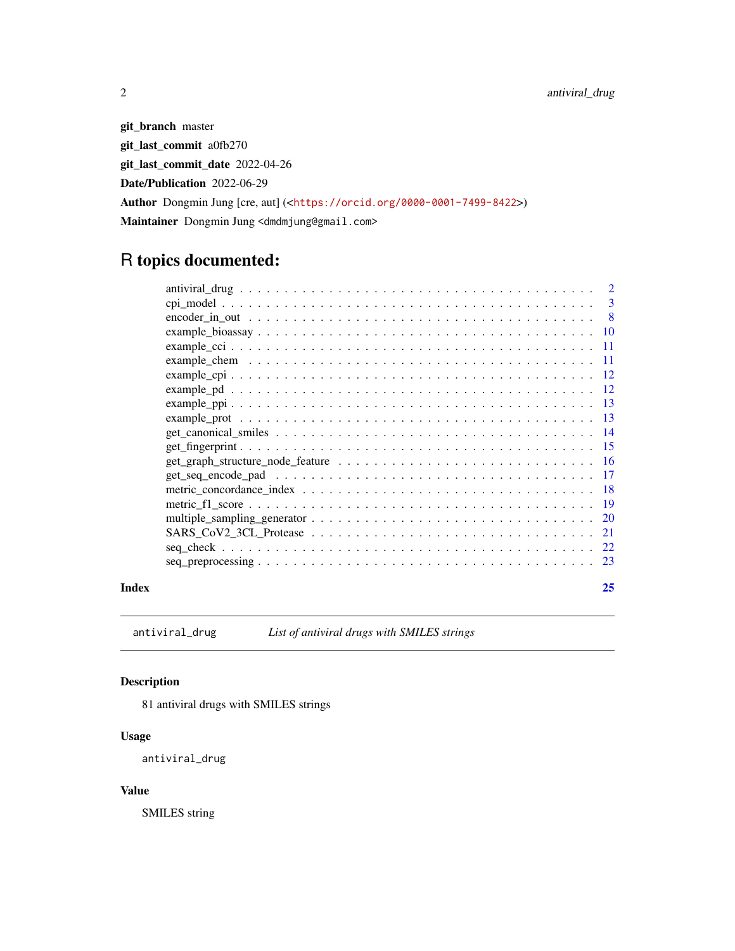git\_branch master git\_last\_commit a0fb270 git\_last\_commit\_date 2022-04-26 Date/Publication 2022-06-29 Author Dongmin Jung [cre, aut] (<<https://orcid.org/0000-0001-7499-8422>>) Maintainer Dongmin Jung <dmdmjung@gmail.com>

## R topics documented:

| Index | 25 |
|-------|----|

antiviral\_drug *List of antiviral drugs with SMILES strings*

#### Description

81 antiviral drugs with SMILES strings

#### Usage

antiviral\_drug

#### Value

SMILES string

<span id="page-1-0"></span>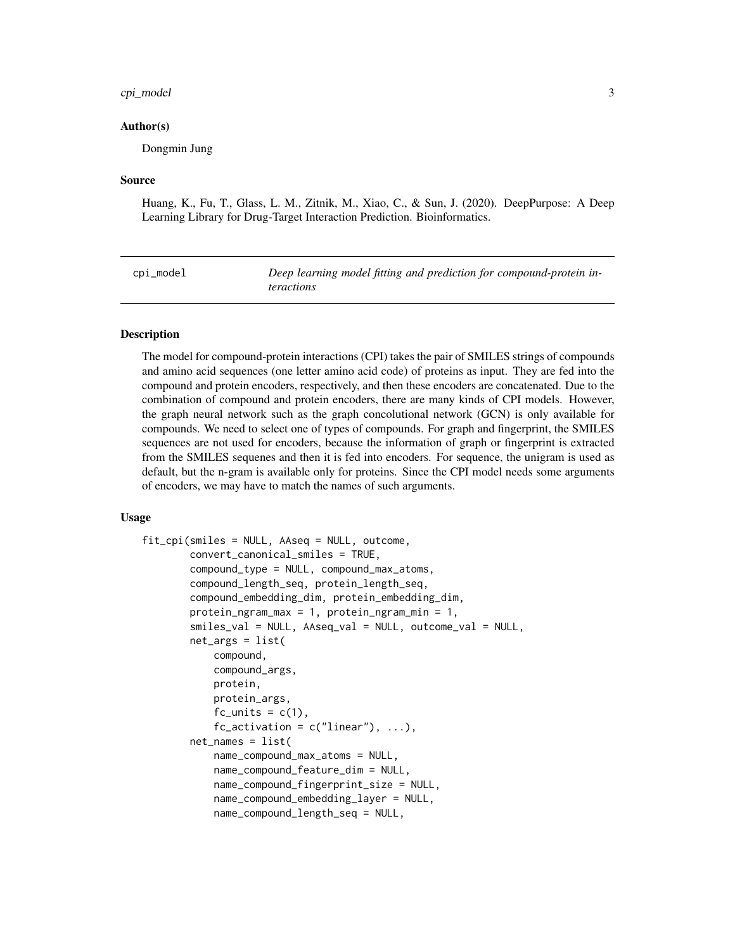#### <span id="page-2-0"></span>cpi\_model 3

#### Author(s)

Dongmin Jung

#### Source

Huang, K., Fu, T., Glass, L. M., Zitnik, M., Xiao, C., & Sun, J. (2020). DeepPurpose: A Deep Learning Library for Drug-Target Interaction Prediction. Bioinformatics.

cpi\_model *Deep learning model fitting and prediction for compound-protein interactions*

#### Description

The model for compound-protein interactions (CPI) takes the pair of SMILES strings of compounds and amino acid sequences (one letter amino acid code) of proteins as input. They are fed into the compound and protein encoders, respectively, and then these encoders are concatenated. Due to the combination of compound and protein encoders, there are many kinds of CPI models. However, the graph neural network such as the graph concolutional network (GCN) is only available for compounds. We need to select one of types of compounds. For graph and fingerprint, the SMILES sequences are not used for encoders, because the information of graph or fingerprint is extracted from the SMILES sequenes and then it is fed into encoders. For sequence, the unigram is used as default, but the n-gram is available only for proteins. Since the CPI model needs some arguments of encoders, we may have to match the names of such arguments.

#### Usage

```
fit_cpi(smiles = NULL, AAseq = NULL, outcome,
        convert_canonical_smiles = TRUE,
        compound_type = NULL, compound_max_atoms,
        compound_length_seq, protein_length_seq,
        compound_embedding_dim, protein_embedding_dim,
        protein_ngram_max = 1, protein_ngram_min = 1,
        smiles_val = NULL, AAseq_val = NULL, outcome_val = NULL,
        net_{args} = list(compound,
            compound_args,
            protein,
            protein_args,
            fc\_units = c(1),
            fc\_activation = c("linear"), ...),net\_names = list(name_compound_max_atoms = NULL,
            name_compound_feature_dim = NULL,
            name_compound_fingerprint_size = NULL,
            name_compound_embedding_layer = NULL,
            name_compound_length_seq = NULL,
```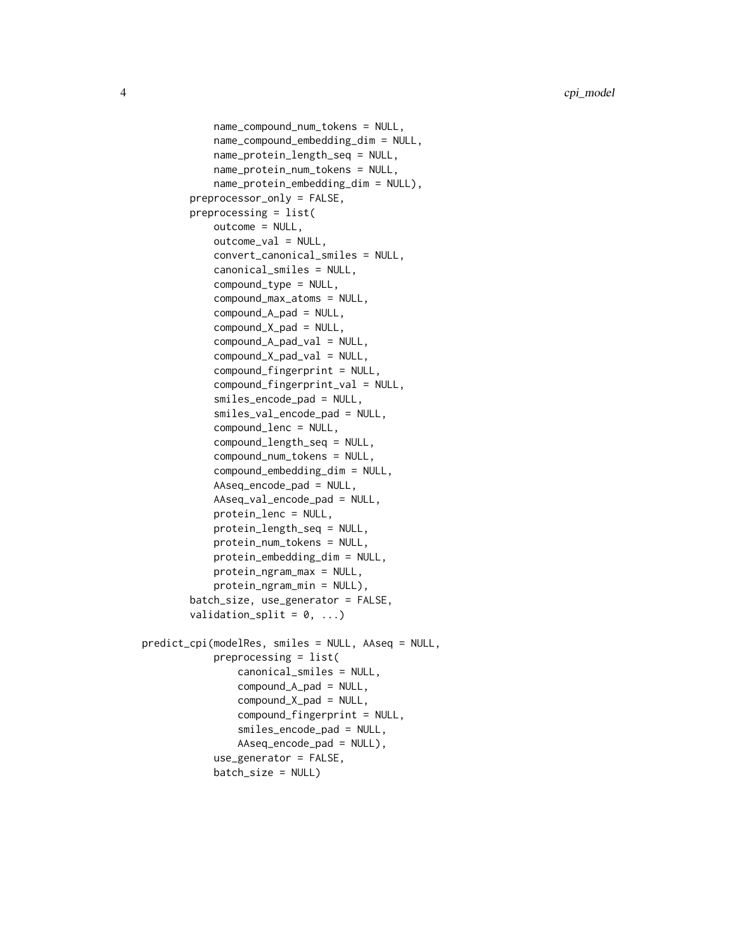```
name_compound_num_tokens = NULL,
            name_compound_embedding_dim = NULL,
            name_protein_length_seq = NULL,
            name_protein_num_tokens = NULL,
            name_protein_embedding_dim = NULL),
       preprocessor_only = FALSE,
       preprocessing = list(
            outcome = NULL,
            outcome_val = NULL,
            convert_canonical_smiles = NULL,
            canonical_smiles = NULL,
            compound_type = NULL,
            compound_max_atoms = NULL,
            compound_A_pad = NULL,compound_X_pad = NULL,
            compound_A_pad_val = NULL,
            compound_X_pad_val = NULL,
            compound_fingerprint = NULL,
            compound_fingerprint_val = NULL,
            smiles_encode_pad = NULL,
            smiles_val_encode_pad = NULL,
            compound_lenc = NULL,
            compound_length_seq = NULL,
            compound_num_tokens = NULL,
            compound_embedding_dim = NULL,
            AAseq_encode_pad = NULL,
            AAseq_val_encode_pad = NULL,
            protein_lenc = NULL,
            protein_length_seq = NULL,
            protein_num_tokens = NULL,
            protein_embedding_dim = NULL,
            protein_ngram_max = NULL,
            protein_ngram_min = NULL),
       batch_size, use_generator = FALSE,
       validation_split = 0, ...)
predict_cpi(modelRes, smiles = NULL, AAseq = NULL,
            preprocessing = list(
                canonical_smiles = NULL,
                compound_A_pad = NULL,
                compound_X_pad = NULL,
                compound_fingerprint = NULL,
                smiles_encode_pad = NULL,
                AAseq_encode_pad = NULL),
            use_generator = FALSE,
            batch_size = NULL)
```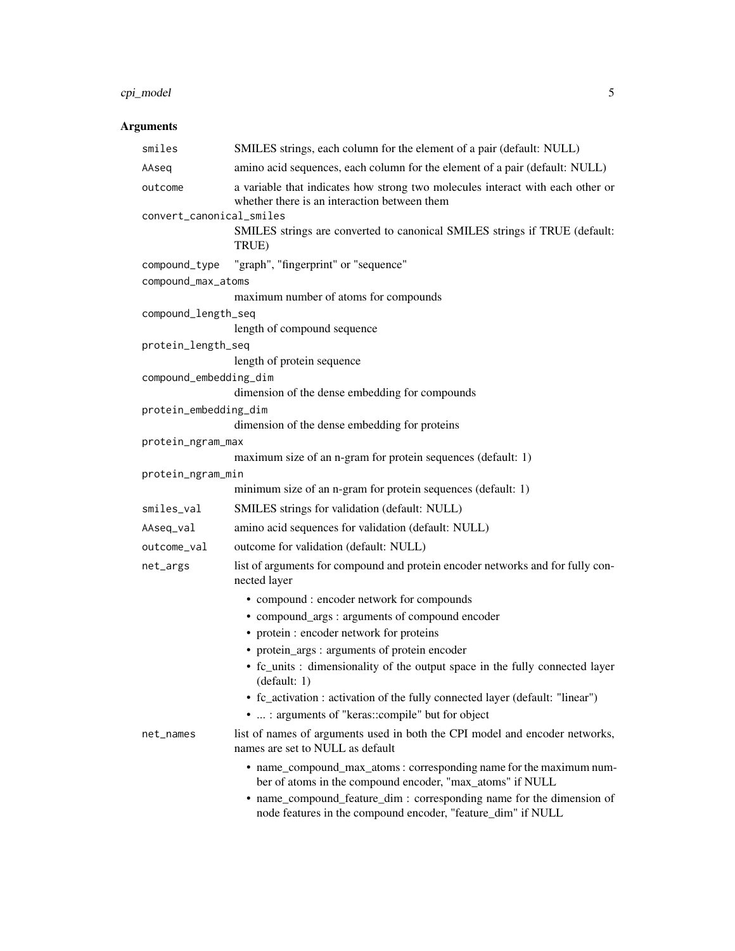#### cpi\_model 5

### Arguments

| smiles                   | SMILES strings, each column for the element of a pair (default: NULL)                                                                 |
|--------------------------|---------------------------------------------------------------------------------------------------------------------------------------|
| AAseq                    | amino acid sequences, each column for the element of a pair (default: NULL)                                                           |
| outcome                  | a variable that indicates how strong two molecules interact with each other or<br>whether there is an interaction between them        |
| convert_canonical_smiles |                                                                                                                                       |
|                          | SMILES strings are converted to canonical SMILES strings if TRUE (default:<br>TRUE)                                                   |
| compound_type            | "graph", "fingerprint" or "sequence"                                                                                                  |
| compound_max_atoms       |                                                                                                                                       |
|                          | maximum number of atoms for compounds                                                                                                 |
| compound_length_seq      |                                                                                                                                       |
|                          | length of compound sequence                                                                                                           |
| protein_length_seq       |                                                                                                                                       |
|                          | length of protein sequence                                                                                                            |
| compound_embedding_dim   | dimension of the dense embedding for compounds                                                                                        |
|                          |                                                                                                                                       |
| protein_embedding_dim    | dimension of the dense embedding for proteins                                                                                         |
| protein_ngram_max        |                                                                                                                                       |
|                          | maximum size of an n-gram for protein sequences (default: 1)                                                                          |
| protein_ngram_min        |                                                                                                                                       |
|                          | minimum size of an n-gram for protein sequences (default: 1)                                                                          |
| smiles_val               | SMILES strings for validation (default: NULL)                                                                                         |
| AAseq_val                | amino acid sequences for validation (default: NULL)                                                                                   |
| outcome_val              | outcome for validation (default: NULL)                                                                                                |
| net_args                 | list of arguments for compound and protein encoder networks and for fully con-<br>nected layer                                        |
|                          | • compound : encoder network for compounds                                                                                            |
|                          | • compound_args : arguments of compound encoder                                                                                       |
|                          | • protein : encoder network for proteins                                                                                              |
|                          | • protein_args : arguments of protein encoder                                                                                         |
|                          | • fc_units : dimensionality of the output space in the fully connected layer<br>(default: 1)                                          |
|                          | • fc_activation : activation of the fully connected layer (default: "linear")<br>•  : arguments of "keras::compile" but for object    |
| net_names                | list of names of arguments used in both the CPI model and encoder networks,<br>names are set to NULL as default                       |
|                          | • name_compound_max_atoms: corresponding name for the maximum num-<br>ber of atoms in the compound encoder, "max_atoms" if NULL       |
|                          | • name_compound_feature_dim : corresponding name for the dimension of<br>node features in the compound encoder, "feature_dim" if NULL |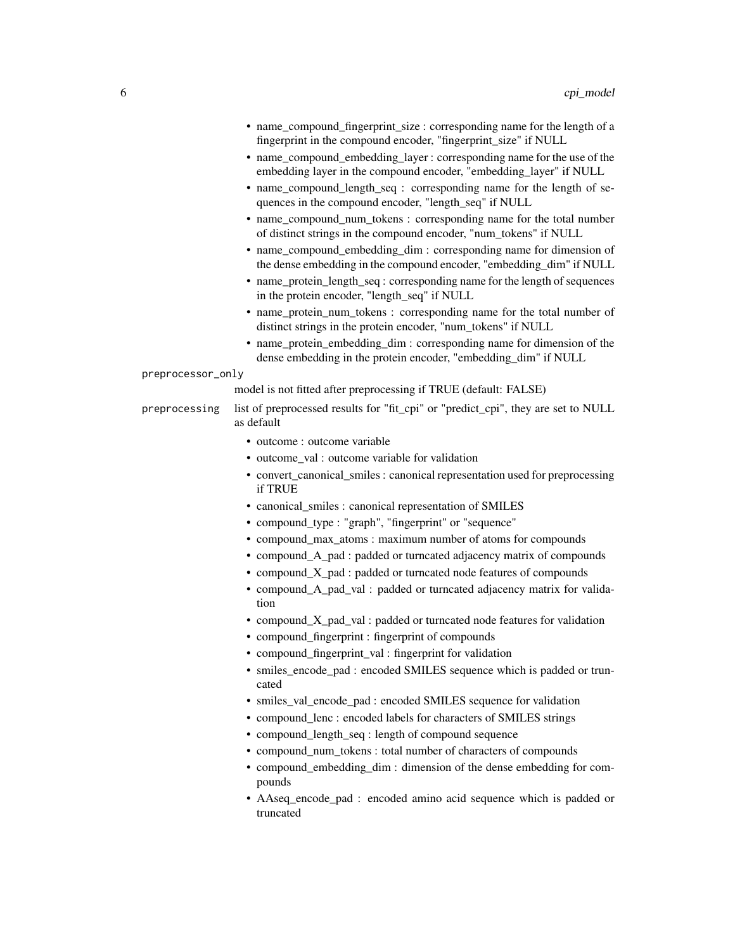|                   | • name_compound_fingerprint_size : corresponding name for the length of a<br>fingerprint in the compound encoder, "fingerprint_size" if NULL |
|-------------------|----------------------------------------------------------------------------------------------------------------------------------------------|
|                   | • name_compound_embedding_layer: corresponding name for the use of the<br>embedding layer in the compound encoder, "embedding_layer" if NULL |
|                   | • name_compound_length_seq : corresponding name for the length of se-<br>quences in the compound encoder, "length_seq" if NULL               |
|                   | • name_compound_num_tokens : corresponding name for the total number<br>of distinct strings in the compound encoder, "num_tokens" if NULL    |
|                   | • name_compound_embedding_dim : corresponding name for dimension of<br>the dense embedding in the compound encoder, "embedding_dim" if NULL  |
|                   | • name_protein_length_seq: corresponding name for the length of sequences<br>in the protein encoder, "length_seq" if NULL                    |
|                   | • name_protein_num_tokens: corresponding name for the total number of<br>distinct strings in the protein encoder, "num_tokens" if NULL       |
|                   | • name_protein_embedding_dim : corresponding name for dimension of the<br>dense embedding in the protein encoder, "embedding_dim" if NULL    |
| preprocessor_only |                                                                                                                                              |
|                   | model is not fitted after preprocessing if TRUE (default: FALSE)                                                                             |
| preprocessing     | list of preprocessed results for "fit_cpi" or "predict_cpi", they are set to NULL<br>as default                                              |
|                   | • outcome : outcome variable                                                                                                                 |
|                   | • outcome_val : outcome variable for validation                                                                                              |
|                   | • convert_canonical_smiles : canonical representation used for preprocessing<br>if TRUE                                                      |
|                   | • canonical_smiles : canonical representation of SMILES                                                                                      |
|                   | • compound_type : "graph", "fingerprint" or "sequence"                                                                                       |
|                   | • compound_max_atoms : maximum number of atoms for compounds                                                                                 |
|                   | • compound_A_pad : padded or turncated adjacency matrix of compounds                                                                         |
|                   | • compound_X_pad : padded or turncated node features of compounds                                                                            |
|                   | • compound_A_pad_val : padded or turncated adjacency matrix for valida-<br>tion                                                              |
|                   | • compound_X_pad_val : padded or turncated node features for validation                                                                      |
|                   | • compound_fingerprint : fingerprint of compounds                                                                                            |
|                   | • compound_fingerprint_val : fingerprint for validation                                                                                      |
|                   | • smiles_encode_pad : encoded SMILES sequence which is padded or trun-<br>cated                                                              |
|                   | • smiles_val_encode_pad : encoded SMILES sequence for validation                                                                             |
|                   | .                                                                                                                                            |

- compound\_lenc : encoded labels for characters of SMILES strings
- compound\_length\_seq : length of compound sequence
- compound\_num\_tokens : total number of characters of compounds
- compound\_embedding\_dim : dimension of the dense embedding for compounds
- AAseq\_encode\_pad : encoded amino acid sequence which is padded or truncated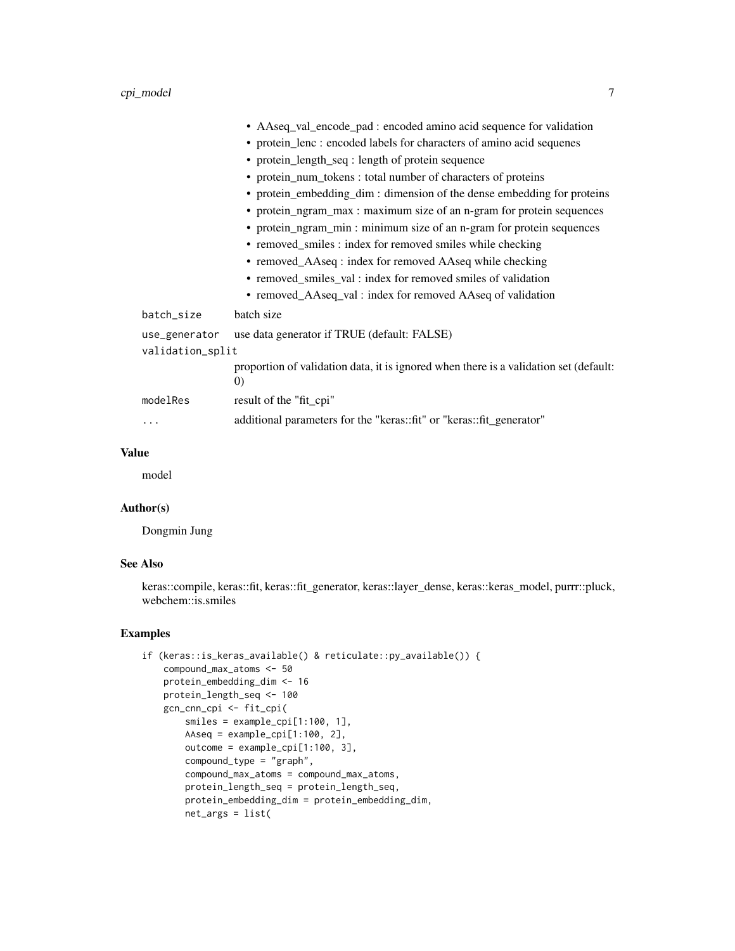|                  | • AAseq_val_encode_pad : encoded amino acid sequence for validation                                        |
|------------------|------------------------------------------------------------------------------------------------------------|
|                  | • protein_lenc : encoded labels for characters of amino acid sequenes                                      |
|                  | • protein_length_seq : length of protein sequence                                                          |
|                  | • protein_num_tokens : total number of characters of proteins                                              |
|                  | • protein_embedding_dim : dimension of the dense embedding for proteins                                    |
|                  | • protein_ngram_max : maximum size of an n-gram for protein sequences                                      |
|                  | • protein_ngram_min: minimum size of an n-gram for protein sequences                                       |
|                  | • removed_smiles : index for removed smiles while checking                                                 |
|                  | • removed_AAseq : index for removed AAseq while checking                                                   |
|                  | • removed_smiles_val : index for removed smiles of validation                                              |
|                  | • removed_AAseq_val : index for removed AAseq of validation                                                |
| batch_size       | batch size                                                                                                 |
| use_generator    | use data generator if TRUE (default: FALSE)                                                                |
| validation_split |                                                                                                            |
|                  | proportion of validation data, it is ignored when there is a validation set (default:<br>$\left( 0\right)$ |
| modelRes         | result of the "fit_cpi"                                                                                    |
|                  | additional parameters for the "keras::fit" or "keras::fit_generator"                                       |
|                  |                                                                                                            |

#### Value

model

#### Author(s)

Dongmin Jung

#### See Also

keras::compile, keras::fit, keras::fit\_generator, keras::layer\_dense, keras::keras\_model, purrr::pluck, webchem::is.smiles

```
if (keras::is_keras_available() & reticulate::py_available()) {
   compound_max_atoms <- 50
   protein_embedding_dim <- 16
   protein_length_seq <- 100
   gcn_cnn_cpi <- fit_cpi(
       smiles = example_cpi[1:100, 1],
       AAseq = example_cpi[1:100, 2],
       outcome = example_cpi[1:100, 3],
       compound_type = "graph",
       compound_max_atoms = compound_max_atoms,
       protein_length_seq = protein_length_seq,
       protein_embedding_dim = protein_embedding_dim,
       net_args = list(
```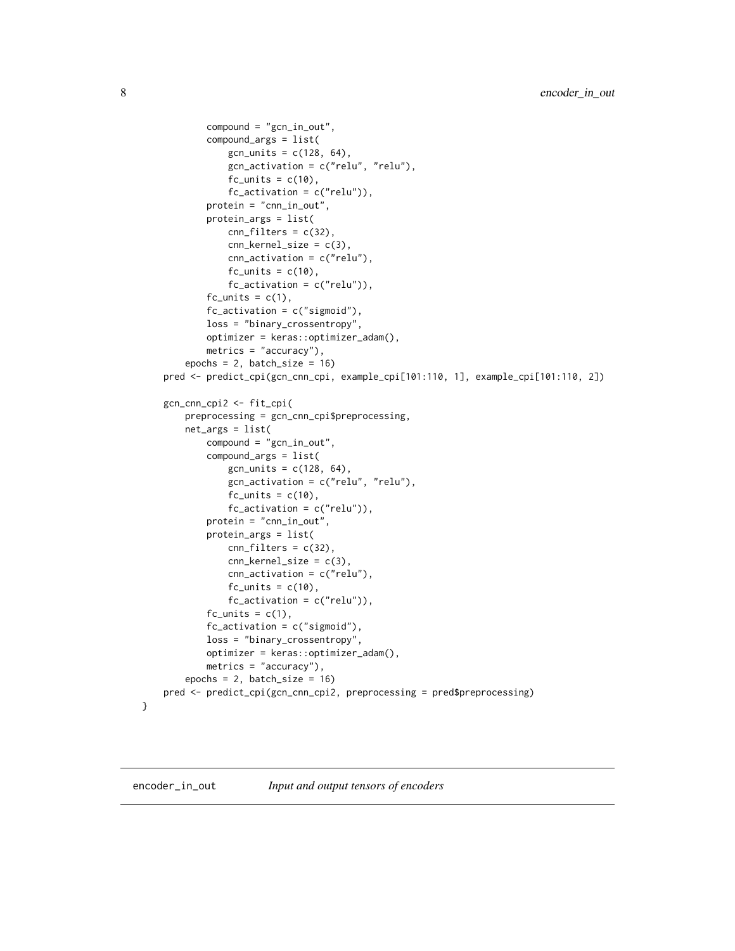```
compound = "gcn_in_out",
        compound_args = list(
            gcn_units = c(128, 64),gcn_activation = c("relu", "relu"),
            fc\_units = c(10),
            fc_activation = c("relu")),
        protein = "cnn_in_out",
        protein_args = list(
            cnn_filters = c(32),
            cnn\_kernel\_size = c(3),
            cnn_activation = c("relu"),
            fc\_units = c(10),
            fc_-activation = c("relu")),
        fc\_units = c(1),
        fc_ activation = c("sigmoid"),
        loss = "binary_crossentropy",
        optimizer = keras::optimizer_adam(),
        metrics = "accuracy"),
    epochs = 2, batch_size = 16pred <- predict_cpi(gcn_cnn_cpi, example_cpi[101:110, 1], example_cpi[101:110, 2])
gcn_cnn_cpi2 <- fit_cpi(
    preprocessing = gcn_cnn_cpi$preprocessing,
    net_args = list(
        compound = "gcn_in_out",
        compound_args = list(
            gcn_units = c(128, 64),
            gcn_activation = c("relu", "relu"),
            fc\_units = c(10),
            fc_activation = c("relu")),
        protein = "cnn_in_out",
        protein_args = list(
            cnn_filters = c(32),
            cnn_{\text{general}_size} = c(3),
            cnn_activation = c("relu"),fc\_units = c(10),
            fc_activation = c("relu")),
        fc\_units = c(1),
        fc_cation = <math>c("sigmoid")</math>,
        loss = "binary_crossentropy",
        optimizer = keras::optimizer_adam(),
        metrics = "accuracy"),
    epochs = 2, batch_size = 16pred <- predict_cpi(gcn_cnn_cpi2, preprocessing = pred$preprocessing)
```

```
}
```
encoder\_in\_out *Input and output tensors of encoders*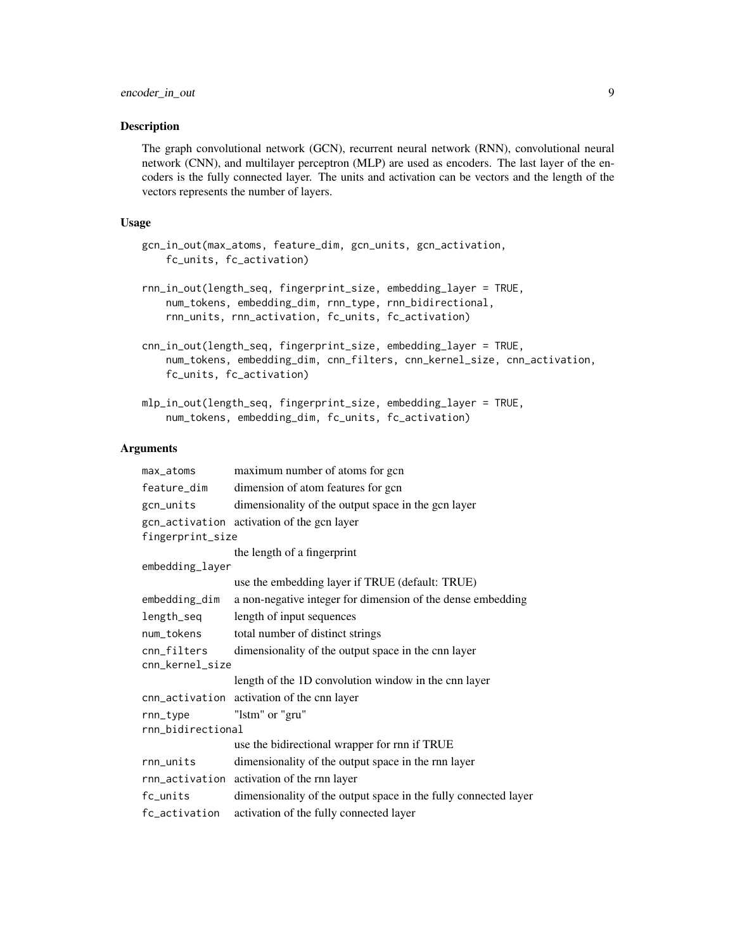The graph convolutional network (GCN), recurrent neural network (RNN), convolutional neural network (CNN), and multilayer perceptron (MLP) are used as encoders. The last layer of the encoders is the fully connected layer. The units and activation can be vectors and the length of the vectors represents the number of layers.

#### Usage

```
gcn_in_out(max_atoms, feature_dim, gcn_units, gcn_activation,
    fc_units, fc_activation)
```

```
rnn_in_out(length_seq, fingerprint_size, embedding_layer = TRUE,
   num_tokens, embedding_dim, rnn_type, rnn_bidirectional,
   rnn_units, rnn_activation, fc_units, fc_activation)
```

```
cnn_in_out(length_seq, fingerprint_size, embedding_layer = TRUE,
   num_tokens, embedding_dim, cnn_filters, cnn_kernel_size, cnn_activation,
   fc_units, fc_activation)
```

```
mlp_in_out(length_seq, fingerprint_size, embedding_layer = TRUE,
   num_tokens, embedding_dim, fc_units, fc_activation)
```
#### Arguments

| max_atoms         | maximum number of atoms for gcn                                 |  |
|-------------------|-----------------------------------------------------------------|--|
| feature_dim       | dimension of atom features for gcn                              |  |
| gcn_units         | dimensionality of the output space in the gcn layer             |  |
| fingerprint_size  | gcn_activation activation of the gcn layer                      |  |
|                   | the length of a fingerprint                                     |  |
| embedding_layer   |                                                                 |  |
|                   | use the embedding layer if TRUE (default: TRUE)                 |  |
| embedding_dim     | a non-negative integer for dimension of the dense embedding     |  |
| length_seq        | length of input sequences                                       |  |
| num_tokens        | total number of distinct strings                                |  |
| cnn_filters       | dimensionality of the output space in the cnn layer             |  |
| cnn_kernel_size   |                                                                 |  |
|                   | length of the 1D convolution window in the cnn layer            |  |
|                   | cnn_activation activation of the cnn layer                      |  |
| rnn_type          | "lstm" or "gru"                                                 |  |
| rnn_bidirectional |                                                                 |  |
|                   | use the bidirectional wrapper for rnn if TRUE                   |  |
| rnn_units         | dimensionality of the output space in the rnn layer             |  |
|                   | rnn_activation activation of the rnn layer                      |  |
| fc_units          | dimensionality of the output space in the fully connected layer |  |
| fc_activation     | activation of the fully connected layer                         |  |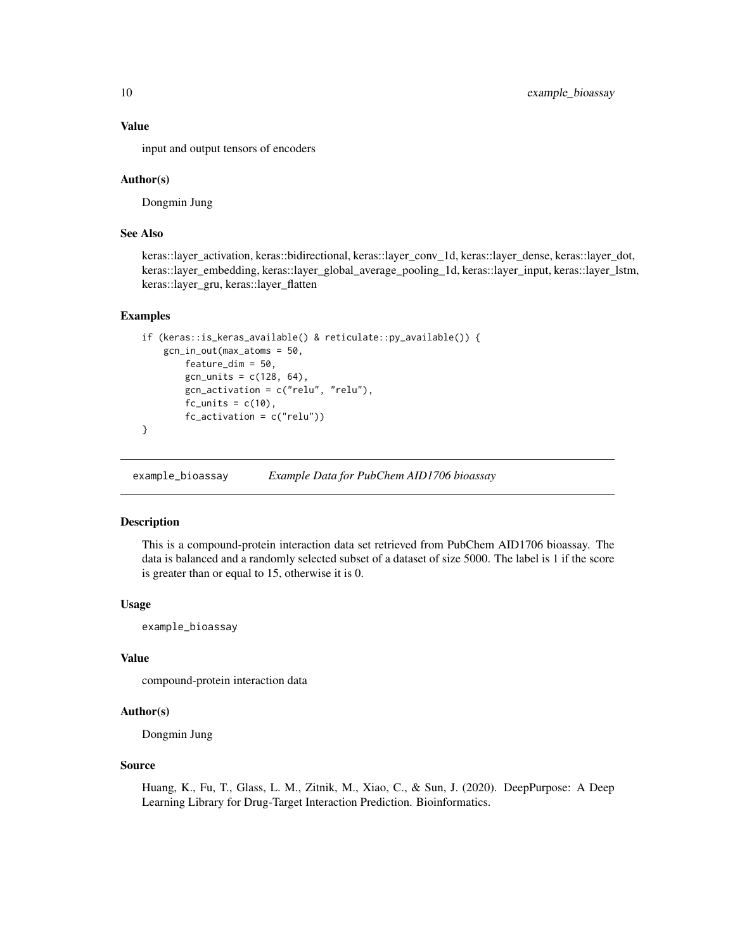#### Value

input and output tensors of encoders

#### Author(s)

Dongmin Jung

#### See Also

keras::layer\_activation, keras::bidirectional, keras::layer\_conv\_1d, keras::layer\_dense, keras::layer\_dot, keras::layer\_embedding, keras::layer\_global\_average\_pooling\_1d, keras::layer\_input, keras::layer\_lstm, keras::layer\_gru, keras::layer\_flatten

#### Examples

```
if (keras::is_keras_available() & reticulate::py_available()) {
    gcn_in_out(max_atoms = 50,
       feature_dim = 50,
        gcn_units = c(128, 64),
        gcn_activation = c("relu", "relu"),
        fc\_units = c(10),
        fc_activation = c("relu"))
}
```
example\_bioassay *Example Data for PubChem AID1706 bioassay*

#### Description

This is a compound-protein interaction data set retrieved from PubChem AID1706 bioassay. The data is balanced and a randomly selected subset of a dataset of size 5000. The label is 1 if the score is greater than or equal to 15, otherwise it is 0.

#### Usage

example\_bioassay

#### Value

compound-protein interaction data

#### Author(s)

Dongmin Jung

#### Source

Huang, K., Fu, T., Glass, L. M., Zitnik, M., Xiao, C., & Sun, J. (2020). DeepPurpose: A Deep Learning Library for Drug-Target Interaction Prediction. Bioinformatics.

<span id="page-9-0"></span>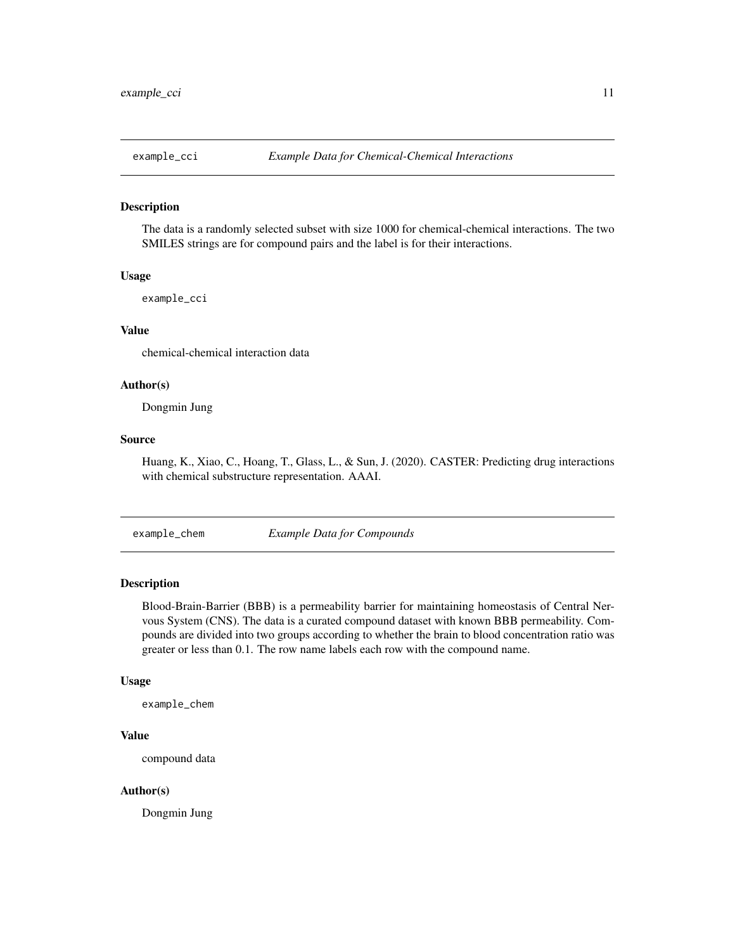<span id="page-10-0"></span>

The data is a randomly selected subset with size 1000 for chemical-chemical interactions. The two SMILES strings are for compound pairs and the label is for their interactions.

#### Usage

example\_cci

#### Value

chemical-chemical interaction data

#### Author(s)

Dongmin Jung

#### Source

Huang, K., Xiao, C., Hoang, T., Glass, L., & Sun, J. (2020). CASTER: Predicting drug interactions with chemical substructure representation. AAAI.

example\_chem *Example Data for Compounds*

#### Description

Blood-Brain-Barrier (BBB) is a permeability barrier for maintaining homeostasis of Central Nervous System (CNS). The data is a curated compound dataset with known BBB permeability. Compounds are divided into two groups according to whether the brain to blood concentration ratio was greater or less than 0.1. The row name labels each row with the compound name.

#### Usage

example\_chem

#### Value

compound data

#### Author(s)

Dongmin Jung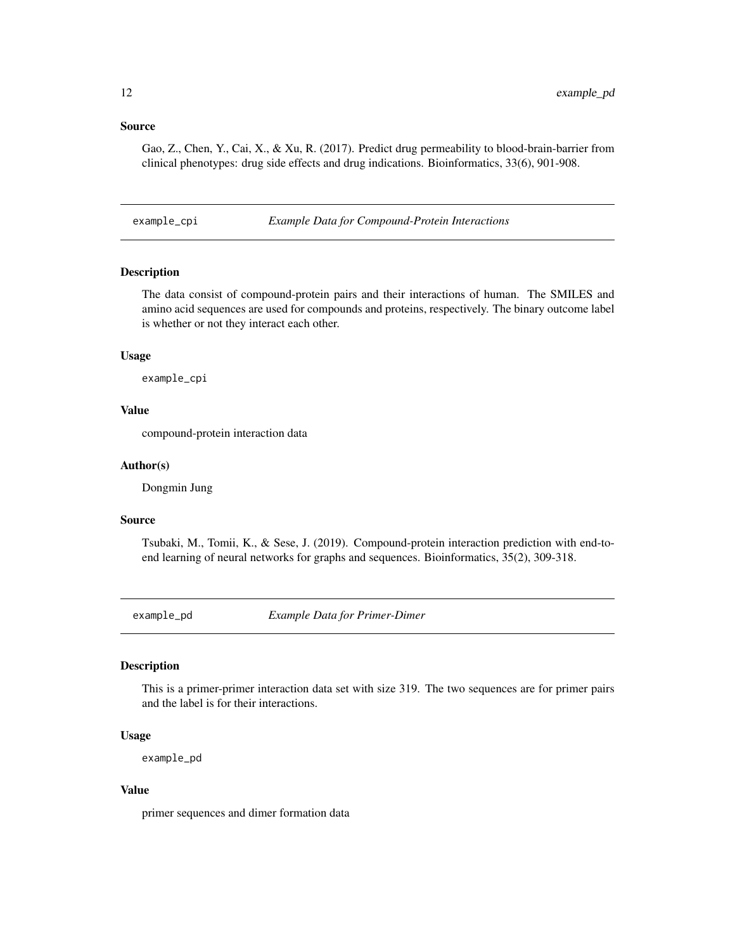#### <span id="page-11-0"></span>Source

Gao, Z., Chen, Y., Cai, X., & Xu, R. (2017). Predict drug permeability to blood-brain-barrier from clinical phenotypes: drug side effects and drug indications. Bioinformatics, 33(6), 901-908.

example\_cpi *Example Data for Compound-Protein Interactions*

#### **Description**

The data consist of compound-protein pairs and their interactions of human. The SMILES and amino acid sequences are used for compounds and proteins, respectively. The binary outcome label is whether or not they interact each other.

#### Usage

example\_cpi

#### Value

compound-protein interaction data

#### Author(s)

Dongmin Jung

#### Source

Tsubaki, M., Tomii, K., & Sese, J. (2019). Compound-protein interaction prediction with end-toend learning of neural networks for graphs and sequences. Bioinformatics, 35(2), 309-318.

example\_pd *Example Data for Primer-Dimer*

#### Description

This is a primer-primer interaction data set with size 319. The two sequences are for primer pairs and the label is for their interactions.

#### Usage

```
example_pd
```
#### Value

primer sequences and dimer formation data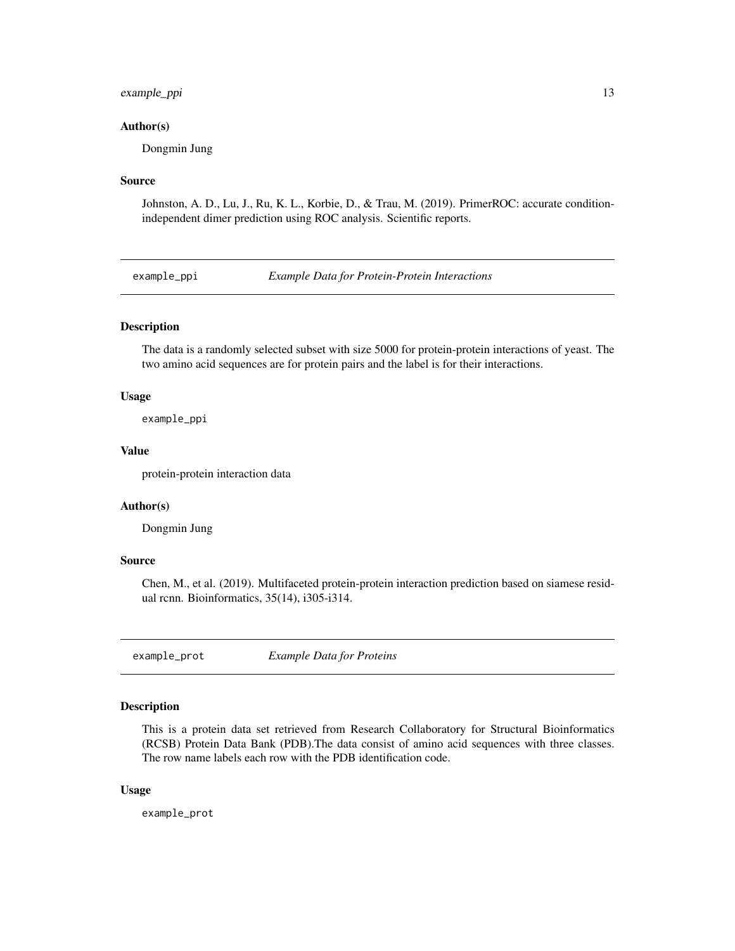#### <span id="page-12-0"></span>example\_ppi 13

#### Author(s)

Dongmin Jung

#### Source

Johnston, A. D., Lu, J., Ru, K. L., Korbie, D., & Trau, M. (2019). PrimerROC: accurate conditionindependent dimer prediction using ROC analysis. Scientific reports.

example\_ppi *Example Data for Protein-Protein Interactions*

#### Description

The data is a randomly selected subset with size 5000 for protein-protein interactions of yeast. The two amino acid sequences are for protein pairs and the label is for their interactions.

#### Usage

example\_ppi

#### Value

protein-protein interaction data

#### Author(s)

Dongmin Jung

#### Source

Chen, M., et al. (2019). Multifaceted protein-protein interaction prediction based on siamese residual rcnn. Bioinformatics, 35(14), i305-i314.

example\_prot *Example Data for Proteins*

#### Description

This is a protein data set retrieved from Research Collaboratory for Structural Bioinformatics (RCSB) Protein Data Bank (PDB).The data consist of amino acid sequences with three classes. The row name labels each row with the PDB identification code.

#### Usage

example\_prot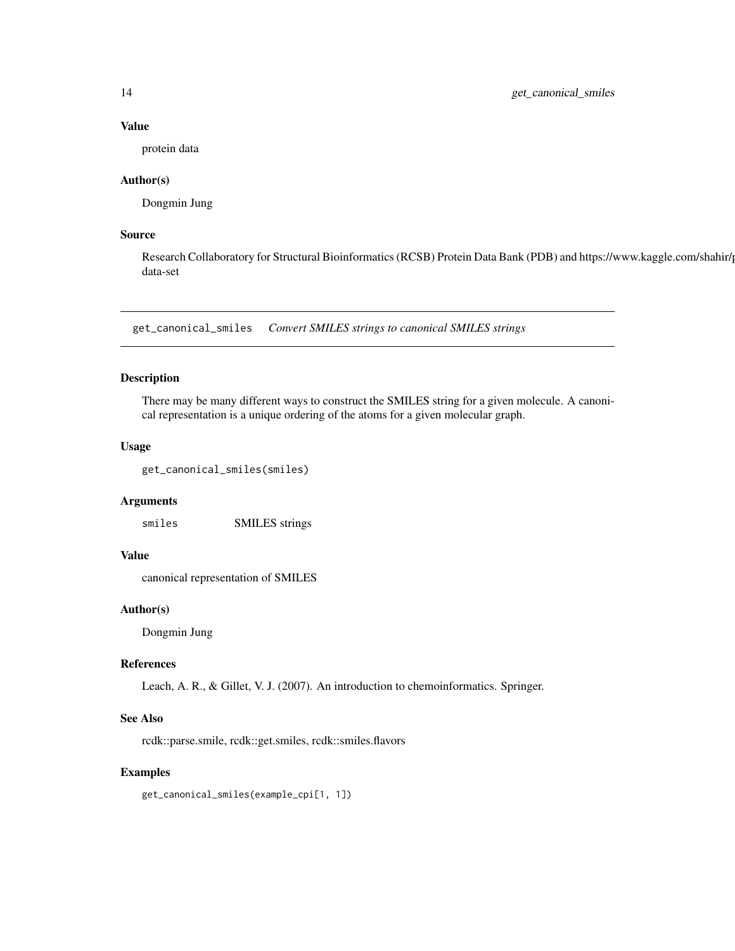#### Value

protein data

#### Author(s)

Dongmin Jung

#### Source

Research Collaboratory for Structural Bioinformatics (RCSB) Protein Data Bank (PDB) and https://www.kaggle.com/shahir/ data-set

get\_canonical\_smiles *Convert SMILES strings to canonical SMILES strings*

#### Description

There may be many different ways to construct the SMILES string for a given molecule. A canonical representation is a unique ordering of the atoms for a given molecular graph.

#### Usage

get\_canonical\_smiles(smiles)

#### Arguments

smiles SMILES strings

#### Value

canonical representation of SMILES

#### Author(s)

Dongmin Jung

#### References

Leach, A. R., & Gillet, V. J. (2007). An introduction to chemoinformatics. Springer.

#### See Also

rcdk::parse.smile, rcdk::get.smiles, rcdk::smiles.flavors

#### Examples

get\_canonical\_smiles(example\_cpi[1, 1])

<span id="page-13-0"></span>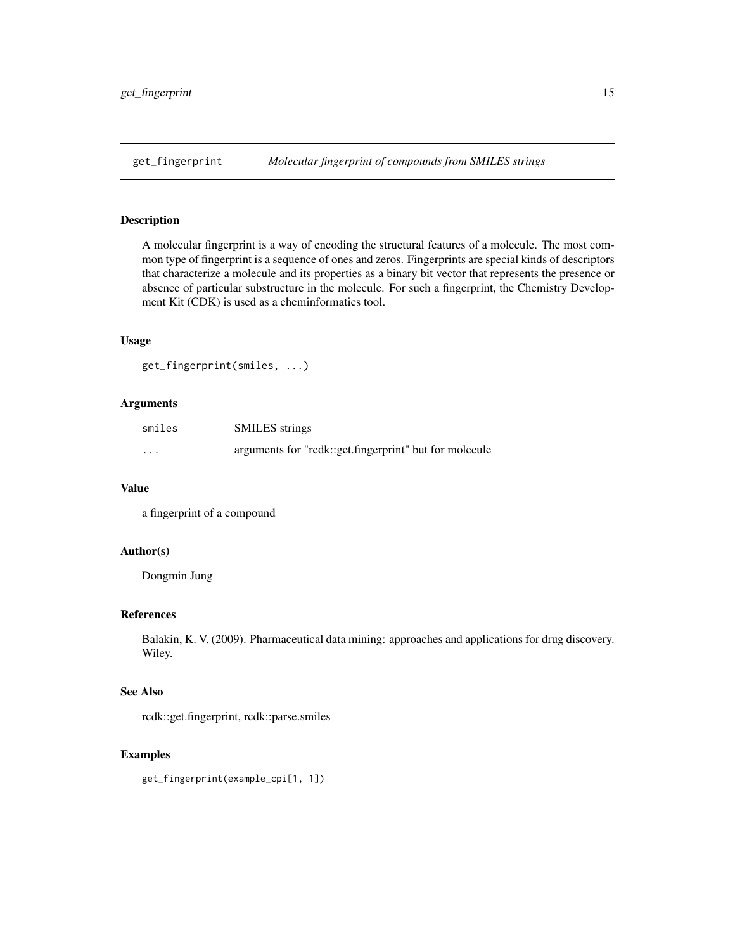<span id="page-14-0"></span>

A molecular fingerprint is a way of encoding the structural features of a molecule. The most common type of fingerprint is a sequence of ones and zeros. Fingerprints are special kinds of descriptors that characterize a molecule and its properties as a binary bit vector that represents the presence or absence of particular substructure in the molecule. For such a fingerprint, the Chemistry Development Kit (CDK) is used as a cheminformatics tool.

#### Usage

```
get_fingerprint(smiles, ...)
```
#### Arguments

| smiles   | <b>SMILES</b> strings                                  |
|----------|--------------------------------------------------------|
| $\cdots$ | arguments for "rcdk::get.fingerprint" but for molecule |

#### Value

a fingerprint of a compound

#### Author(s)

Dongmin Jung

#### References

Balakin, K. V. (2009). Pharmaceutical data mining: approaches and applications for drug discovery. Wiley.

#### See Also

rcdk::get.fingerprint, rcdk::parse.smiles

#### Examples

get\_fingerprint(example\_cpi[1, 1])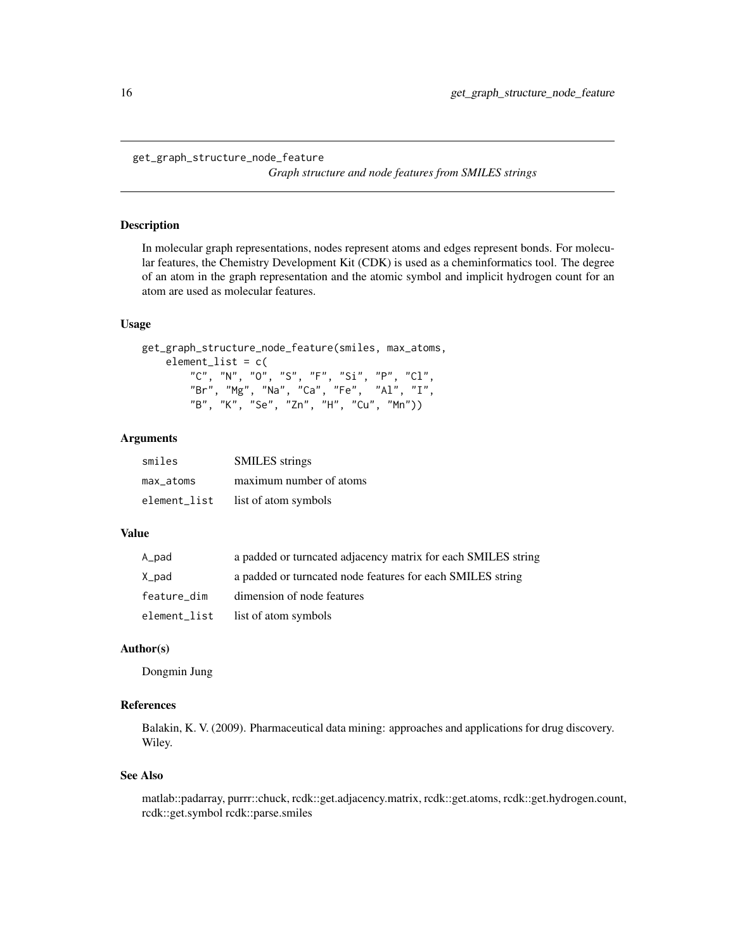<span id="page-15-0"></span>get\_graph\_structure\_node\_feature

*Graph structure and node features from SMILES strings*

#### Description

In molecular graph representations, nodes represent atoms and edges represent bonds. For molecular features, the Chemistry Development Kit (CDK) is used as a cheminformatics tool. The degree of an atom in the graph representation and the atomic symbol and implicit hydrogen count for an atom are used as molecular features.

#### Usage

```
get_graph_structure_node_feature(smiles, max_atoms,
   element_list = c(
       "C", "N", "O", "S", "F", "Si", "P", "Cl",
       "Br", "Mg", "Na", "Ca", "Fe", "Al", "I",
        "B", "K", "Se", "Zn", "H", "Cu", "Mn"))
```
#### Arguments

| smiles       | <b>SMILES</b> strings   |
|--------------|-------------------------|
| max atoms    | maximum number of atoms |
| element_list | list of atom symbols    |

#### Value

| A_pad        | a padded or turncated adjacency matrix for each SMILES string |
|--------------|---------------------------------------------------------------|
| X_pad        | a padded or turncated node features for each SMILES string    |
| feature_dim  | dimension of node features                                    |
| element_list | list of atom symbols                                          |

#### Author(s)

Dongmin Jung

#### References

Balakin, K. V. (2009). Pharmaceutical data mining: approaches and applications for drug discovery. Wiley.

#### See Also

matlab::padarray, purrr::chuck, rcdk::get.adjacency.matrix, rcdk::get.atoms, rcdk::get.hydrogen.count, rcdk::get.symbol rcdk::parse.smiles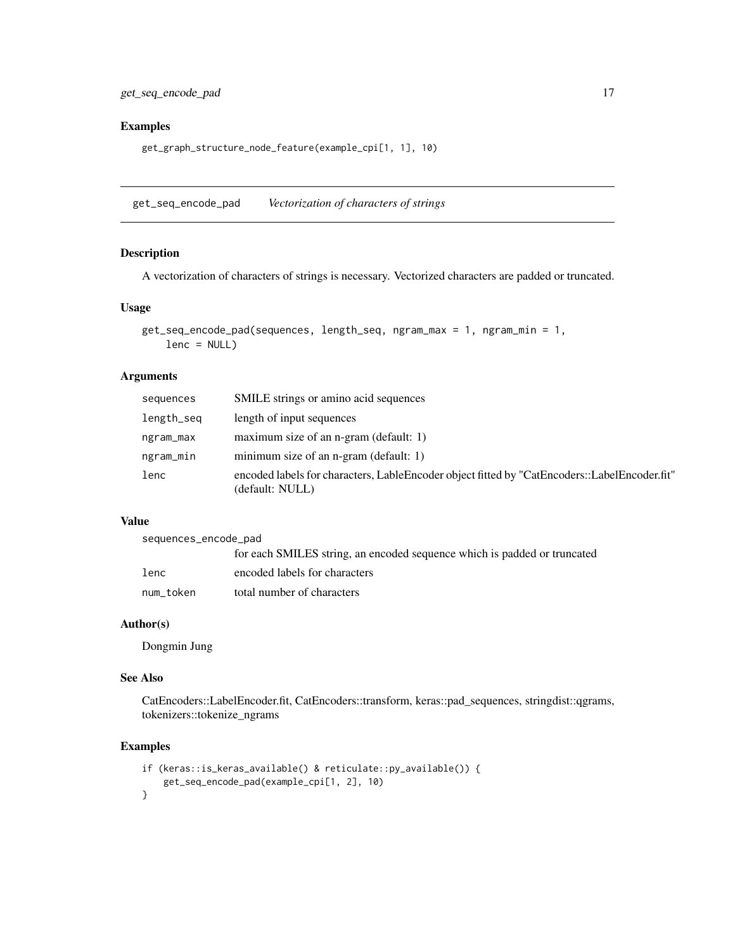#### <span id="page-16-0"></span>Examples

get\_graph\_structure\_node\_feature(example\_cpi[1, 1], 10)

get\_seq\_encode\_pad *Vectorization of characters of strings*

#### Description

A vectorization of characters of strings is necessary. Vectorized characters are padded or truncated.

#### Usage

```
get_seq_encode_pad(sequences, length_seq, ngram_max = 1, ngram_min = 1,
   lenc = NULL)
```
#### Arguments

| sequences  | SMILE strings or amino acid sequences                                                                           |
|------------|-----------------------------------------------------------------------------------------------------------------|
| length_seq | length of input sequences                                                                                       |
| ngram_max  | maximum size of an n-gram (default: 1)                                                                          |
| ngram_min  | minimum size of an n-gram (default: 1)                                                                          |
| lenc       | encoded labels for characters, LableEncoder object fitted by "CatEncoders::LabelEncoder.fit"<br>(default: NULL) |

#### Value

sequences\_encode\_pad

|           | for each SMILES string, an encoded sequence which is padded or truncated |
|-----------|--------------------------------------------------------------------------|
| lenc      | encoded labels for characters                                            |
| num token | total number of characters                                               |

#### Author(s)

Dongmin Jung

#### See Also

CatEncoders::LabelEncoder.fit, CatEncoders::transform, keras::pad\_sequences, stringdist::qgrams, tokenizers::tokenize\_ngrams

```
if (keras::is_keras_available() & reticulate::py_available()) {
   get_seq_encode_pad(example_cpi[1, 2], 10)
}
```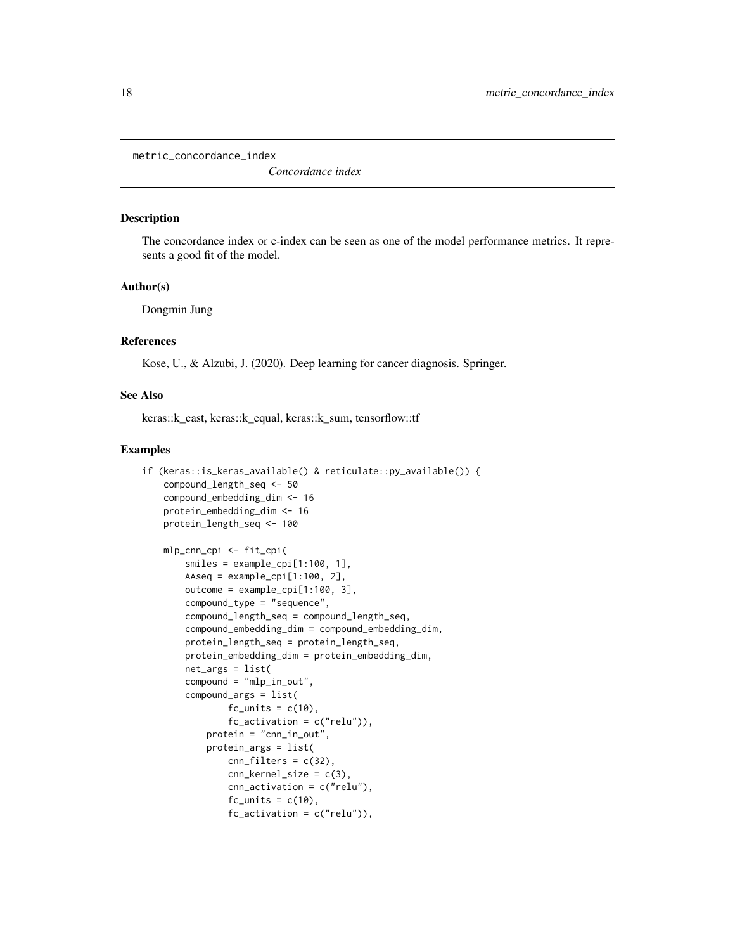<span id="page-17-0"></span>metric\_concordance\_index

*Concordance index*

#### Description

The concordance index or c-index can be seen as one of the model performance metrics. It represents a good fit of the model.

#### Author(s)

Dongmin Jung

#### References

Kose, U., & Alzubi, J. (2020). Deep learning for cancer diagnosis. Springer.

#### See Also

keras::k\_cast, keras::k\_equal, keras::k\_sum, tensorflow::tf

```
if (keras::is_keras_available() & reticulate::py_available()) {
    compound_length_seq <- 50
    compound_embedding_dim <- 16
   protein_embedding_dim <- 16
   protein_length_seq <- 100
    mlp_cnn_cpi <- fit_cpi(
        smiles = example_cpi[1:100, 1],
        AAseq = example_cpi[1:100, 2],
        outcome = example_cpi[1:100, 3],
        compound_type = "sequence",
        compound_length_seq = compound_length_seq,
        compound_embedding_dim = compound_embedding_dim,
        protein_length_seq = protein_length_seq,
        protein_embedding_dim = protein_embedding_dim,
        net_args = list(
        compound = "mlp_in_out",
        compound_args = list(
                fc\_units = c(10),
                fc_ activation = c("relu")),
            protein = "cnn_in_out",
            protein_args = list(
                cnn_filters = c(32),
                cnn_kernel_size = c(3),
                cnn_activation = c("relu"),
                fc\_units = c(10),
                fc_-activation = c("relu")),
```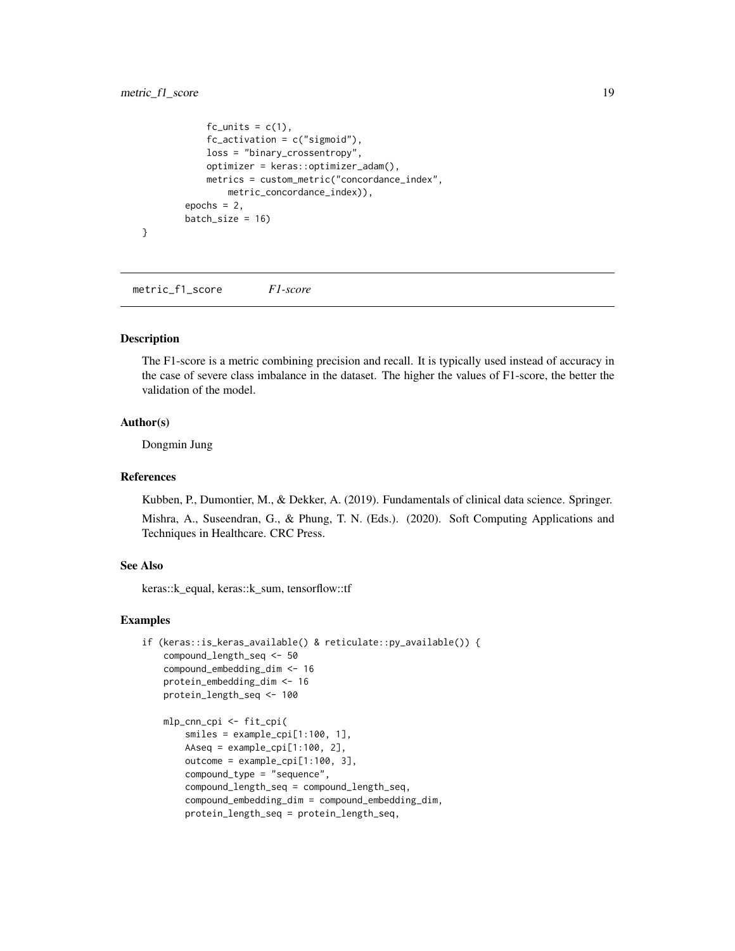#### <span id="page-18-0"></span>metric\_f1\_score 19

```
fc\_units = c(1),
            fc_ activation = c("sigmoid"),
            loss = "binary_crossentropy",
            optimizer = keras::optimizer_adam(),
            metrics = custom_metric("concordance_index",
                metric_concordance_index)),
        epochs = 2,
        batch_size = 16)
}
```
metric\_f1\_score *F1-score*

#### Description

The F1-score is a metric combining precision and recall. It is typically used instead of accuracy in the case of severe class imbalance in the dataset. The higher the values of F1-score, the better the validation of the model.

#### Author(s)

Dongmin Jung

#### References

Kubben, P., Dumontier, M., & Dekker, A. (2019). Fundamentals of clinical data science. Springer.

Mishra, A., Suseendran, G., & Phung, T. N. (Eds.). (2020). Soft Computing Applications and Techniques in Healthcare. CRC Press.

#### See Also

keras::k\_equal, keras::k\_sum, tensorflow::tf

```
if (keras::is_keras_available() & reticulate::py_available()) {
   compound_length_seq <- 50
   compound_embedding_dim <- 16
   protein_embedding_dim <- 16
   protein_length_seq <- 100
   mlp_cnn_cpi <- fit_cpi(
       smiles = example_cpi[1:100, 1],
       AAseq = example_cpi[1:100, 2],
       outcome = example\_cpi[1:100, 3],compound_type = "sequence",
       compound_length_seq = compound_length_seq,
       compound_embedding_dim = compound_embedding_dim,
       protein_length_seq = protein_length_seq,
```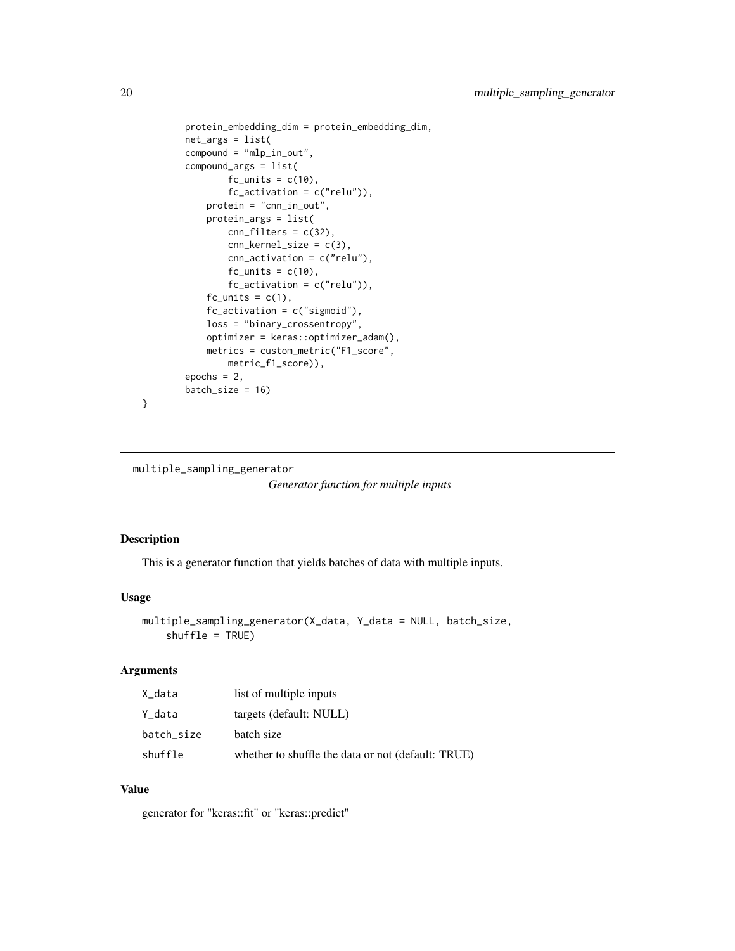```
protein_embedding_dim = protein_embedding_dim,
net_args = list(
compound = "mlp_in_out",
compound_args = list(
       fc\_units = c(10),
        fc_activation = c("relu")),
    protein = "cnn_in_out",
    protein_args = list(
        cnn_filters = c(32),
        cnn\_kernel\_size = c(3),
        cnn_activation = c("relu"),
        fc\_units = c(10),
        fc_-activation = c("relu")),
    fc\_units = c(1),
    fc_ activation = c("sigmoid"),
    loss = "binary_crossentropy",
    optimizer = keras::optimizer_adam(),
    metrics = custom_metric("F1_score",
       metric_f1_score)),
epochs = 2,batch_size = 16)
```
multiple\_sampling\_generator

```
Generator function for multiple inputs
```
#### Description

}

This is a generator function that yields batches of data with multiple inputs.

#### Usage

```
multiple_sampling_generator(X_data, Y_data = NULL, batch_size,
   shuffle = TRUE)
```
#### Arguments

| X_data     | list of multiple inputs                            |
|------------|----------------------------------------------------|
| Y_data     | targets (default: NULL)                            |
| batch_size | batch size                                         |
| shuffle    | whether to shuffle the data or not (default: TRUE) |

#### Value

generator for "keras::fit" or "keras::predict"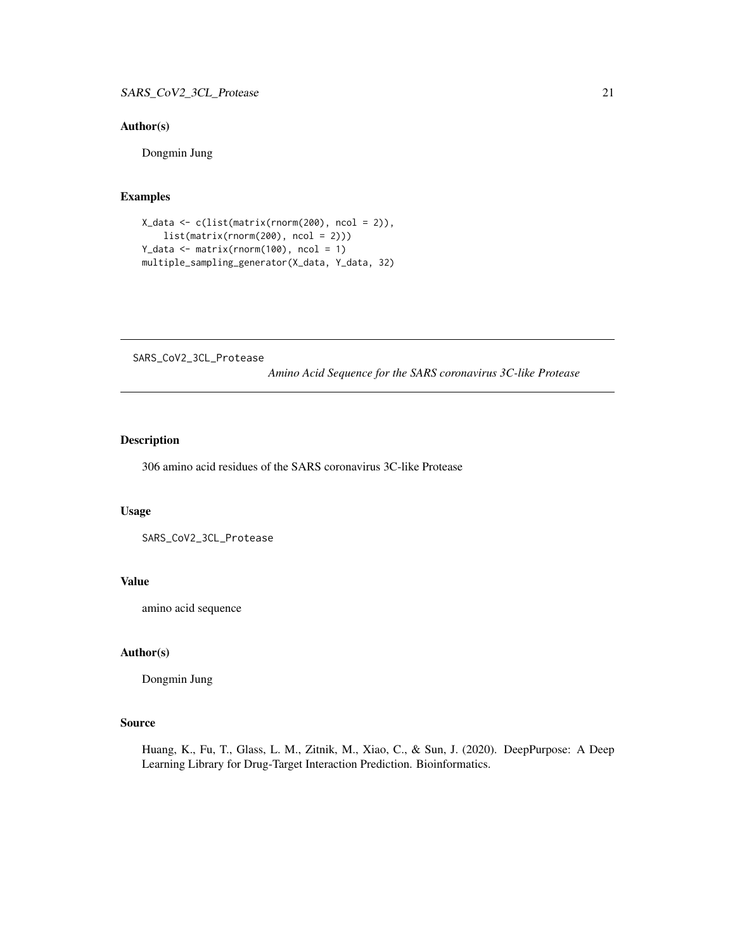#### <span id="page-20-0"></span>Author(s)

Dongmin Jung

#### Examples

```
X_data <- c(list(matrix(rnorm(200), ncol = 2)),
   list(matrix(rnorm(200), ncol = 2)))
Y_data <- matrix(rnorm(100), ncol = 1)
multiple_sampling_generator(X_data, Y_data, 32)
```
SARS\_CoV2\_3CL\_Protease

*Amino Acid Sequence for the SARS coronavirus 3C-like Protease*

#### Description

306 amino acid residues of the SARS coronavirus 3C-like Protease

#### Usage

SARS\_CoV2\_3CL\_Protease

#### Value

amino acid sequence

#### Author(s)

Dongmin Jung

#### Source

Huang, K., Fu, T., Glass, L. M., Zitnik, M., Xiao, C., & Sun, J. (2020). DeepPurpose: A Deep Learning Library for Drug-Target Interaction Prediction. Bioinformatics.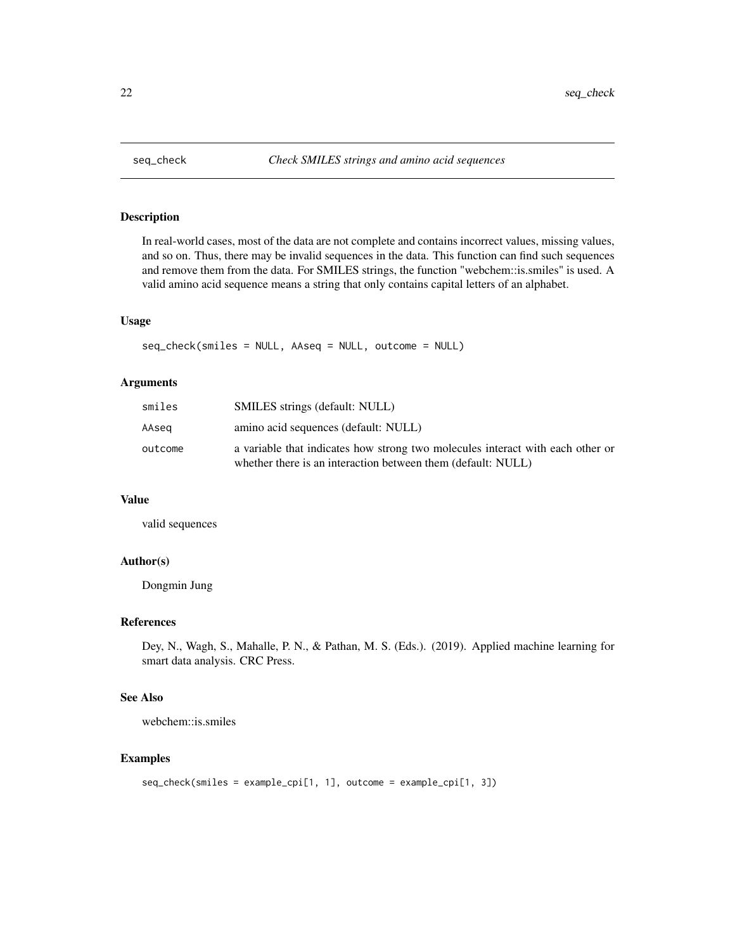<span id="page-21-0"></span>

In real-world cases, most of the data are not complete and contains incorrect values, missing values, and so on. Thus, there may be invalid sequences in the data. This function can find such sequences and remove them from the data. For SMILES strings, the function "webchem::is.smiles" is used. A valid amino acid sequence means a string that only contains capital letters of an alphabet.

#### Usage

```
seq_check(smiles = NULL, AAseq = NULL, outcome = NULL)
```
#### Arguments

| smiles  | <b>SMILES</b> strings (default: NULL)                                                                                                          |
|---------|------------------------------------------------------------------------------------------------------------------------------------------------|
| AAsea   | amino acid sequences (default: NULL)                                                                                                           |
| outcome | a variable that indicates how strong two molecules interact with each other or<br>whether there is an interaction between them (default: NULL) |

#### Value

valid sequences

#### Author(s)

Dongmin Jung

#### References

Dey, N., Wagh, S., Mahalle, P. N., & Pathan, M. S. (Eds.). (2019). Applied machine learning for smart data analysis. CRC Press.

#### See Also

webchem::is.smiles

```
seq_check(smiles = example_cpi[1, 1], outcome = example_cpi[1, 3])
```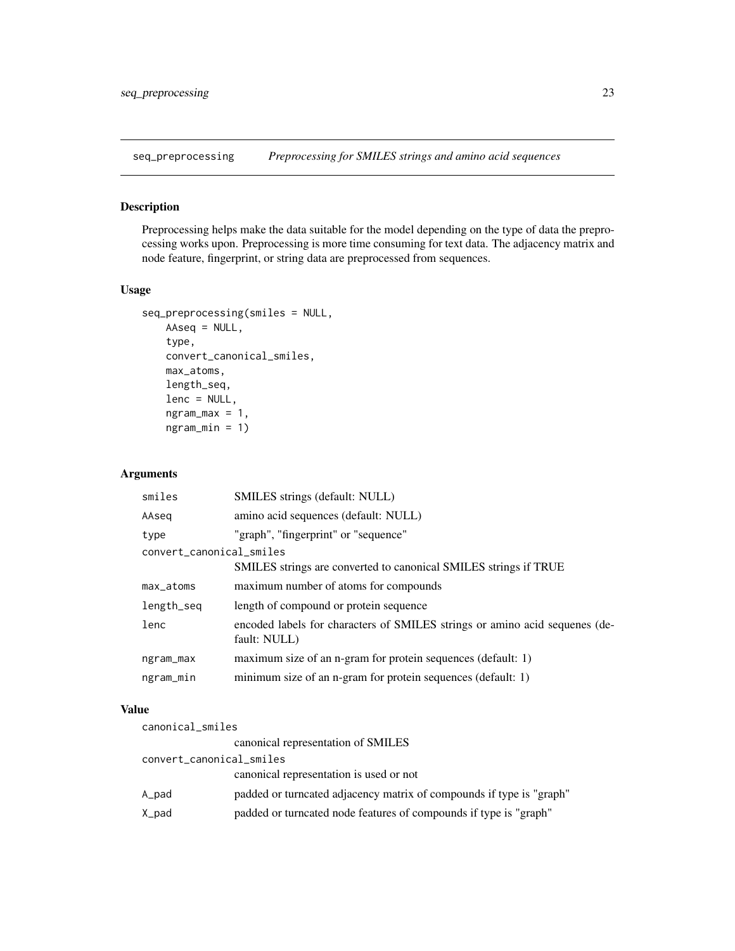<span id="page-22-0"></span>

Preprocessing helps make the data suitable for the model depending on the type of data the preprocessing works upon. Preprocessing is more time consuming for text data. The adjacency matrix and node feature, fingerprint, or string data are preprocessed from sequences.

#### Usage

```
seq_preprocessing(smiles = NULL,
   AAseq = NULL,
    type,
   convert_canonical_smiles,
   max_atoms,
   length_seq,
   lenc = NULL,
    ngram_max = 1,
    ngram_min = 1)
```
#### Arguments

| SMILES strings (default: NULL)                                                              |  |  |  |
|---------------------------------------------------------------------------------------------|--|--|--|
| amino acid sequences (default: NULL)                                                        |  |  |  |
| "graph", "fingerprint" or "sequence"                                                        |  |  |  |
| convert_canonical_smiles                                                                    |  |  |  |
| SMILES strings are converted to canonical SMILES strings if TRUE                            |  |  |  |
| maximum number of atoms for compounds                                                       |  |  |  |
| length of compound or protein sequence                                                      |  |  |  |
| encoded labels for characters of SMILES strings or amino acid sequenes (de-<br>fault: NULL) |  |  |  |
| maximum size of an n-gram for protein sequences (default: 1)                                |  |  |  |
| minimum size of an n-gram for protein sequences (default: 1)                                |  |  |  |
|                                                                                             |  |  |  |

#### Value

| canonical_smiles         |                                                                      |  |
|--------------------------|----------------------------------------------------------------------|--|
|                          | canonical representation of SMILES                                   |  |
| convert_canonical_smiles |                                                                      |  |
|                          | canonical representation is used or not                              |  |
| A_pad                    | padded or turncated adjacency matrix of compounds if type is "graph" |  |
| X_pad                    | padded or turncated node features of compounds if type is "graph"    |  |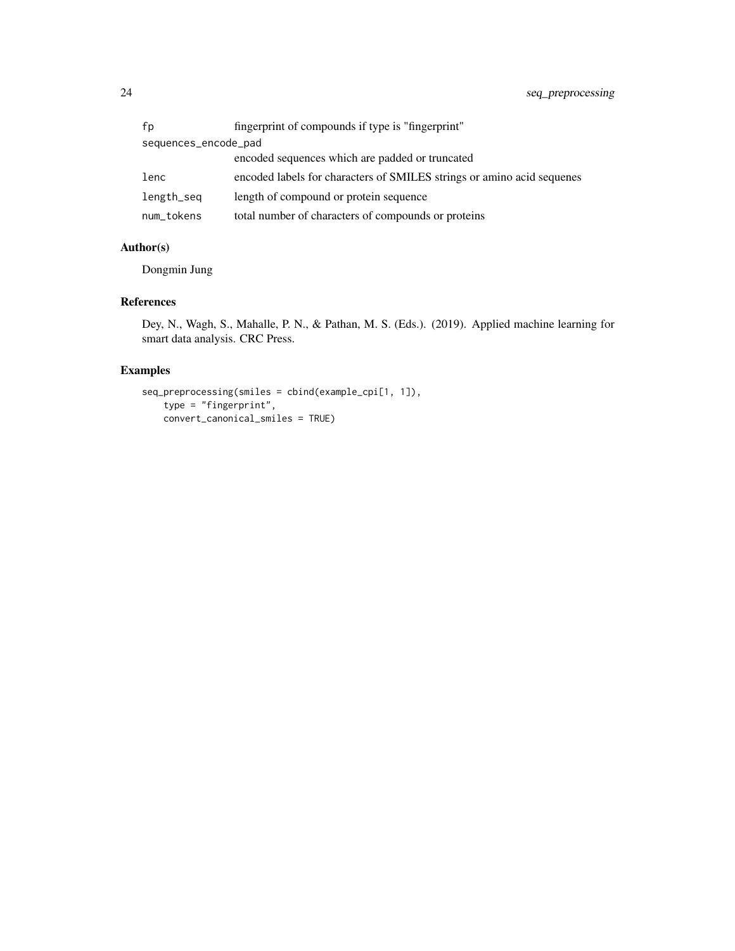| fp                   | fingerprint of compounds if type is "fingerprint"                      |  |
|----------------------|------------------------------------------------------------------------|--|
| sequences_encode_pad |                                                                        |  |
|                      | encoded sequences which are padded or truncated                        |  |
| lenc                 | encoded labels for characters of SMILES strings or amino acid sequenes |  |
| length_seq           | length of compound or protein sequence                                 |  |
| num_tokens           | total number of characters of compounds or proteins                    |  |

#### Author(s)

Dongmin Jung

#### References

Dey, N., Wagh, S., Mahalle, P. N., & Pathan, M. S. (Eds.). (2019). Applied machine learning for smart data analysis. CRC Press.

```
seq_preprocessing(smiles = cbind(example_cpi[1, 1]),
   type = "fingerprint",
   convert_canonical_smiles = TRUE)
```